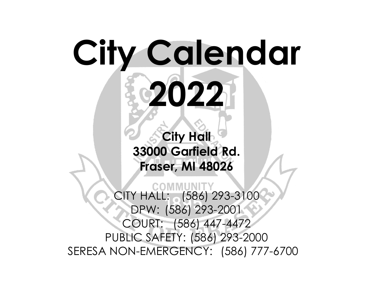## **City Calendar 2022**

**City Hall 33000 Garfield Rd. Fraser, MI 48026**

CITY HALL: (586) 293-3100 DPW: (586) 293-2001 COURT: (586) 447-4472 PUBLIC SAFETY: (586) 293-2000 SERESA NON-EMERGENCY: (586) 777-6700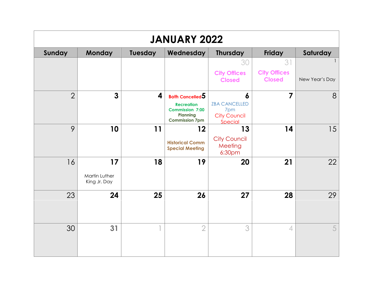| <b>JANUARY 2022</b> |                               |         |                                                                                         |                                                               |                                      |                |  |  |
|---------------------|-------------------------------|---------|-----------------------------------------------------------------------------------------|---------------------------------------------------------------|--------------------------------------|----------------|--|--|
| Sunday              | <b>Monday</b>                 | Tuesday | Wednesday                                                                               | <b>Thursday</b>                                               | <b>Friday</b>                        | Saturday       |  |  |
|                     |                               |         |                                                                                         | 30                                                            | 31                                   |                |  |  |
|                     |                               |         |                                                                                         | <b>City Offices</b><br><b>Closed</b>                          | <b>City Offices</b><br><b>Closed</b> | New Year's Day |  |  |
| $\overline{2}$      | $\overline{\mathbf{3}}$       | 4       | <b>Both Cancelled <math>5</math></b>                                                    | 6                                                             | $\overline{7}$                       | 8              |  |  |
|                     |                               |         | <b>Recreation</b><br><b>Commission 7:00</b><br><b>Planning</b><br><b>Commission 7pm</b> | <b>ZBA CANCELLED</b><br>7pm<br><b>City Council</b><br>Special |                                      |                |  |  |
| 9                   | 10                            | 11      | 12                                                                                      | 13                                                            | 14                                   | 15             |  |  |
|                     |                               |         | <b>Historical Comm</b><br><b>Special Meeting</b>                                        | <b>City Council</b><br>Meeting<br>6:30pm                      |                                      |                |  |  |
| 16                  | 17                            | 18      | 19                                                                                      | 20                                                            | 21                                   | 22             |  |  |
|                     | Martin Luther<br>King Jr. Day |         |                                                                                         |                                                               |                                      |                |  |  |
| 23                  | 24                            | 25      | 26                                                                                      | 27                                                            | 28                                   | 29             |  |  |
|                     | 31                            |         | $\overline{2}$                                                                          | 3                                                             | $\overline{4}$                       | 5              |  |  |
| 30                  |                               |         |                                                                                         |                                                               |                                      |                |  |  |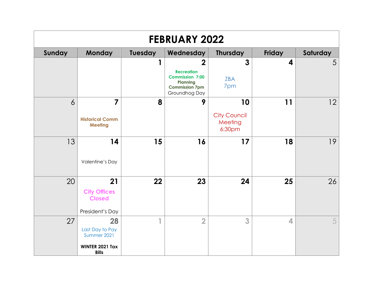| <b>FEBRUARY 2022</b> |                                                                         |         |                                                                                                                     |                                                |                  |          |  |  |
|----------------------|-------------------------------------------------------------------------|---------|---------------------------------------------------------------------------------------------------------------------|------------------------------------------------|------------------|----------|--|--|
| Sunday               | Monday                                                                  | Tuesday | Wednesday                                                                                                           | <b>Thursday</b>                                | Friday           | Saturday |  |  |
|                      |                                                                         | 1       | $\overline{2}$<br><b>Recreation</b><br><b>Commission 7:00</b><br>Planning<br><b>Commission 7pm</b><br>Groundhog Day | $\overline{3}$<br><b>ZBA</b><br>7pm            | $\boldsymbol{4}$ | 5        |  |  |
| $\overline{6}$       | $\overline{7}$<br><b>Historical Comm</b><br><b>Meeting</b>              | 8       | 9                                                                                                                   | 10<br><b>City Council</b><br>Meeting<br>6:30pm | 11               | 12       |  |  |
| 13                   | 14<br>Valentine's Day                                                   | 15      | 16                                                                                                                  | 17                                             | 18               | 19       |  |  |
| 20                   | 21<br><b>City Offices</b><br><b>Closed</b><br>President's Day           | 22      | 23                                                                                                                  | 24                                             | 25               | 26       |  |  |
| 27                   | 28<br>Last Day to Pay<br>Summer 2021<br>WINTER 2021 Tax<br><b>Bills</b> | 4       | $\overline{2}$                                                                                                      | 3                                              | 4                | 5        |  |  |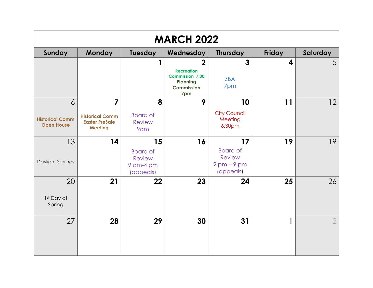| <b>MARCH 2022</b>                           |                                                                   |                                                            |                                                                                                              |                                                            |               |                |  |
|---------------------------------------------|-------------------------------------------------------------------|------------------------------------------------------------|--------------------------------------------------------------------------------------------------------------|------------------------------------------------------------|---------------|----------------|--|
| Sunday                                      | <b>Monday</b>                                                     | Tuesday                                                    | Wednesday                                                                                                    | <b>Thursday</b>                                            | <b>Friday</b> | Saturday       |  |
|                                             |                                                                   |                                                            | $\overline{2}$<br><b>Recreation</b><br><b>Commission 7:00</b><br><b>Planning</b><br><b>Commission</b><br>7pm | $\overline{3}$<br><b>ZBA</b><br>7pm                        | 4             | 5              |  |
| 6                                           | $\overline{7}$                                                    | 8                                                          | 9                                                                                                            | 10                                                         | 11            | 12             |  |
| <b>Historical Comm</b><br><b>Open House</b> | <b>Historical Comm</b><br><b>Easter PreSale</b><br><b>Meeting</b> | <b>Board of</b><br><b>Review</b><br>9am                    |                                                                                                              | <b>City Council</b><br>Meeting<br>6:30pm                   |               |                |  |
| 13                                          | 14                                                                | 15                                                         | 16                                                                                                           | 17                                                         | 19            | 19             |  |
| Daylight Savings                            |                                                                   | <b>Board of</b><br><b>Review</b><br>9 am-4 pm<br>(appeals) |                                                                                                              | <b>Board of</b><br><b>Review</b><br>$2pm-9pm$<br>(appeals) |               |                |  |
| 20                                          | 21                                                                | 22                                                         | 23                                                                                                           | 24                                                         | 25            | 26             |  |
| 1st Day of<br>Spring                        |                                                                   |                                                            |                                                                                                              |                                                            |               |                |  |
| 27                                          | 28                                                                | 29                                                         | 30                                                                                                           | 31                                                         |               | $\overline{2}$ |  |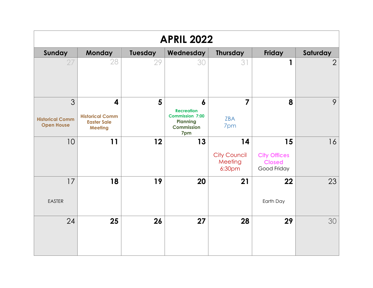| <b>APRIL 2022</b>                                |                                                                                           |                |                                                                                                 |                                                |                                                           |                |  |  |
|--------------------------------------------------|-------------------------------------------------------------------------------------------|----------------|-------------------------------------------------------------------------------------------------|------------------------------------------------|-----------------------------------------------------------|----------------|--|--|
| Sunday                                           | <b>Monday</b>                                                                             | Tuesday        | Wednesday                                                                                       | <b>Thursday</b>                                | Friday                                                    | Saturday       |  |  |
| 27                                               | 28                                                                                        | 29             | 30                                                                                              | 31                                             | 1                                                         | $\overline{2}$ |  |  |
| 3<br><b>Historical Comm</b><br><b>Open House</b> | $\overline{\mathbf{4}}$<br><b>Historical Comm</b><br><b>Easter Sale</b><br><b>Meeting</b> | $5\phantom{1}$ | 6<br><b>Recreation</b><br><b>Commission 7:00</b><br><b>Planning</b><br><b>Commission</b><br>7pm | $\overline{7}$<br><b>ZBA</b><br>7pm            | 8                                                         | 9              |  |  |
| 10                                               | 11                                                                                        | 12             | 13                                                                                              | 14<br><b>City Council</b><br>Meeting<br>6:30pm | 15<br><b>City Offices</b><br><b>Closed</b><br>Good Friday | 16             |  |  |
| 17<br><b>EASTER</b>                              | 18                                                                                        | 19             | 20                                                                                              | 21                                             | 22<br>Earth Day                                           | 23             |  |  |
| 24                                               | 25                                                                                        | 26             | 27                                                                                              | 28                                             | 29                                                        | 30             |  |  |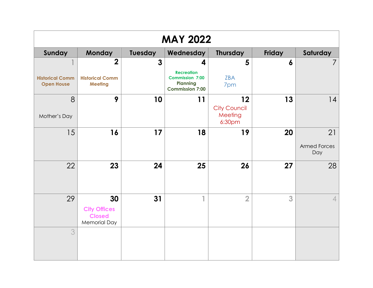| <b>MAY 2022</b>                             |                                                             |                |                                                                                   |                                          |                  |                            |  |  |
|---------------------------------------------|-------------------------------------------------------------|----------------|-----------------------------------------------------------------------------------|------------------------------------------|------------------|----------------------------|--|--|
| Sunday                                      | <b>Monday</b>                                               | <b>Tuesday</b> | Wednesday                                                                         | <b>Thursday</b>                          | Friday           | Saturday                   |  |  |
|                                             | $\overline{2}$                                              | $\mathbf{3}$   | $\boldsymbol{4}$                                                                  | 5                                        | $\boldsymbol{6}$ | 7                          |  |  |
| <b>Historical Comm</b><br><b>Open House</b> | <b>Historical Comm</b><br><b>Meeting</b>                    |                | <b>Recreation</b><br><b>Commission 7:00</b><br>Planning<br><b>Commission 7:00</b> | ZBA<br>7pm                               |                  |                            |  |  |
| 8                                           | 9                                                           | 10             | 11                                                                                | 12                                       | 13               | 4                          |  |  |
| Mother's Day                                |                                                             |                |                                                                                   | <b>City Council</b><br>Meeting<br>6:30pm |                  |                            |  |  |
| 15                                          | 16                                                          | 17             | 18                                                                                | 19                                       | 20               | 21                         |  |  |
|                                             |                                                             |                |                                                                                   |                                          |                  | <b>Armed Forces</b><br>Day |  |  |
| 22                                          | 23                                                          | 24             | 25                                                                                | 26                                       | 27               | 28                         |  |  |
| 29                                          | 30                                                          | 31             | 41                                                                                | $\overline{2}$                           | 3                | $\overline{4}$             |  |  |
|                                             | <b>City Offices</b><br><b>Closed</b><br><b>Memorial Day</b> |                |                                                                                   |                                          |                  |                            |  |  |
| 3                                           |                                                             |                |                                                                                   |                                          |                  |                            |  |  |
|                                             |                                                             |                |                                                                                   |                                          |                  |                            |  |  |
|                                             |                                                             |                |                                                                                   |                                          |                  |                            |  |  |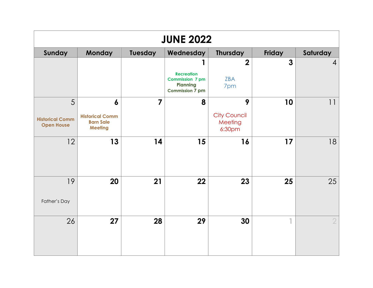| <b>JUNE 2022</b>                                 |                                                                                  |                |                                                                                          |                                               |                |                |  |  |
|--------------------------------------------------|----------------------------------------------------------------------------------|----------------|------------------------------------------------------------------------------------------|-----------------------------------------------|----------------|----------------|--|--|
| Sunday                                           | <b>Monday</b>                                                                    | <b>Tuesday</b> | Wednesday                                                                                | <b>Thursday</b>                               | Friday         | Saturday       |  |  |
|                                                  |                                                                                  |                | <b>Recreation</b><br><b>Commission 7 pm</b><br><b>Planning</b><br><b>Commission 7 pm</b> | $\overline{2}$<br><b>ZBA</b><br>7pm           | $\overline{3}$ | $\overline{4}$ |  |  |
| 5<br><b>Historical Comm</b><br><b>Open House</b> | $\boldsymbol{6}$<br><b>Historical Comm</b><br><b>Barn Sale</b><br><b>Meeting</b> | $\overline{7}$ | 8                                                                                        | 9<br><b>City Council</b><br>Meeting<br>6:30pm | 10             | 11             |  |  |
| 12                                               | 13                                                                               | 14             | 15                                                                                       | 16                                            | 17             | 18             |  |  |
| 19<br>Father's Day                               | 20                                                                               | 21             | 22                                                                                       | 23                                            | 25             | 25             |  |  |
| 26                                               | 27                                                                               | 28             | 29                                                                                       | 30                                            |                | $\overline{2}$ |  |  |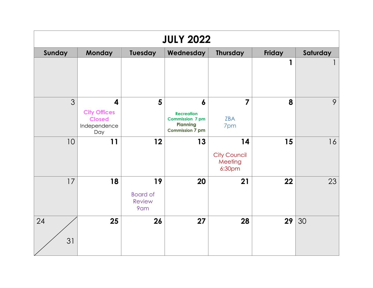| <b>JULY 2022</b> |                                                                                        |                                               |                                                                                                              |                                                |        |          |  |  |
|------------------|----------------------------------------------------------------------------------------|-----------------------------------------------|--------------------------------------------------------------------------------------------------------------|------------------------------------------------|--------|----------|--|--|
| Sunday           | <b>Monday</b>                                                                          | Tuesday                                       | Wednesday                                                                                                    | <b>Thursday</b>                                | Friday | Saturday |  |  |
|                  |                                                                                        |                                               |                                                                                                              |                                                | 1      |          |  |  |
| 3                | $\overline{\mathbf{4}}$<br><b>City Offices</b><br><b>Closed</b><br>Independence<br>Day | 5                                             | $\boldsymbol{6}$<br><b>Recreation</b><br><b>Commission 7 pm</b><br><b>Planning</b><br><b>Commission 7 pm</b> | $\overline{7}$<br>ZBA<br>7pm                   | 8      | 9        |  |  |
| 10               | 11                                                                                     | 12                                            | 13                                                                                                           | 14<br><b>City Council</b><br>Meeting<br>6:30pm | 15     | 16       |  |  |
| 17               | 18                                                                                     | 19<br><b>Board of</b><br><b>Review</b><br>9am | 20                                                                                                           | 21                                             | 22     | 23       |  |  |
| 24<br>31         | 25                                                                                     | 26                                            | 27                                                                                                           | 28                                             | 29     | 30       |  |  |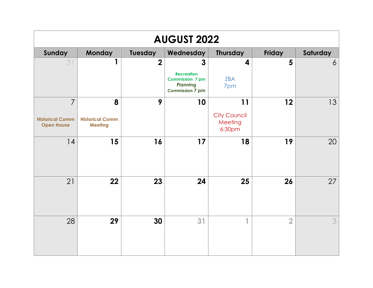| <b>AUGUST 2022</b>                                            |                                               |                |                                                                                                   |                                                |                |                |  |  |
|---------------------------------------------------------------|-----------------------------------------------|----------------|---------------------------------------------------------------------------------------------------|------------------------------------------------|----------------|----------------|--|--|
| Sunday                                                        | <b>Monday</b>                                 | Tuesday        | Wednesday                                                                                         | <b>Thursday</b>                                | Friday         | Saturday       |  |  |
| 31                                                            | 1                                             | $\overline{2}$ | $\mathbf{3}$<br><b>Recreation</b><br><b>Commission 7 pm</b><br>Planning<br><b>Commission 7 pm</b> | $\overline{\mathbf{4}}$<br><b>ZBA</b><br>7pm   | 5              | $\overline{6}$ |  |  |
| $\overline{7}$<br><b>Historical Comm</b><br><b>Open House</b> | 8<br><b>Historical Comm</b><br><b>Meeting</b> | 9              | 10                                                                                                | 11<br><b>City Council</b><br>Meeting<br>6:30pm | 12             | 13             |  |  |
| 14                                                            | 15                                            | 16             | 17                                                                                                | 18                                             | 19             | 20             |  |  |
| 21                                                            | 22                                            | 23             | 24                                                                                                | 25                                             | 26             | 27             |  |  |
| 28                                                            | 29                                            | 30             | 31                                                                                                | 1                                              | $\overline{2}$ | 3              |  |  |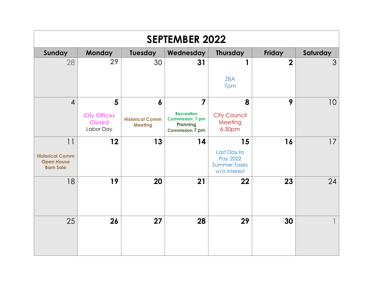| <b>SEPTEMBER 2022</b>                                                 |                                                        |                                                              |                                                                                                            |                                                                      |                |                 |  |  |
|-----------------------------------------------------------------------|--------------------------------------------------------|--------------------------------------------------------------|------------------------------------------------------------------------------------------------------------|----------------------------------------------------------------------|----------------|-----------------|--|--|
| Sunday                                                                | <b>Monday</b>                                          | <b>Tuesday</b>                                               | Wednesday                                                                                                  | <b>Thursday</b>                                                      | <b>Friday</b>  | Saturday        |  |  |
| 28                                                                    | 29                                                     | 30                                                           | 31                                                                                                         | 1<br><b>ZBA</b><br>7pm                                               | $\overline{2}$ | 3               |  |  |
| $\overline{4}$                                                        | 5<br><b>City Offices</b><br><b>Closed</b><br>Labor Day | $\boldsymbol{6}$<br><b>Historical Comm</b><br><b>Meeting</b> | $\overline{7}$<br><b>Recreation</b><br><b>Commission 7 pm</b><br><b>Planning</b><br><b>Commission 7 pm</b> | 8<br><b>City Council</b><br>Meeting<br>6:30pm                        | 9              | 10 <sup>°</sup> |  |  |
| 11<br><b>Historical Comm</b><br><b>Open House</b><br><b>Barn Sale</b> | 12                                                     | 13                                                           | 14                                                                                                         | 15<br>Last Day to<br>Pay 2022<br><b>Summer Taxes</b><br>w/o interest | 16             | 17              |  |  |
| 18                                                                    | 19                                                     | 20                                                           | 21                                                                                                         | 22                                                                   | 23             | 24              |  |  |
| 25                                                                    | 26                                                     | 27                                                           | 28                                                                                                         | 29                                                                   | 30             |                 |  |  |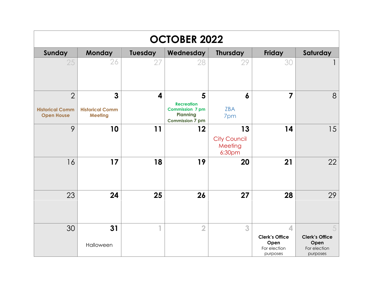| <b>OCTOBER 2022</b>                                           |                                               |         |                                                                                               |                                                |                                                                |                                                                |  |  |  |
|---------------------------------------------------------------|-----------------------------------------------|---------|-----------------------------------------------------------------------------------------------|------------------------------------------------|----------------------------------------------------------------|----------------------------------------------------------------|--|--|--|
| Sunday                                                        | <b>Monday</b>                                 | Tuesday | Wednesday                                                                                     | <b>Thursday</b>                                | <b>Friday</b>                                                  | Saturday                                                       |  |  |  |
| 25                                                            | 26                                            | 27      | 28                                                                                            | 29                                             | 30                                                             |                                                                |  |  |  |
| $\overline{2}$<br><b>Historical Comm</b><br><b>Open House</b> | 3<br><b>Historical Comm</b><br><b>Meeting</b> | 4       | 5<br><b>Recreation</b><br><b>Commission 7 pm</b><br><b>Planning</b><br><b>Commission 7 pm</b> | $\boldsymbol{6}$<br><b>ZBA</b><br>7pm          | $\overline{7}$                                                 | 8                                                              |  |  |  |
| 9                                                             | 10                                            | 11      | 12                                                                                            | 13<br><b>City Council</b><br>Meeting<br>6:30pm | 14                                                             | 15                                                             |  |  |  |
| 16                                                            | 17                                            | 18      | 19                                                                                            | 20                                             | 21                                                             | 22                                                             |  |  |  |
| 23                                                            | 24                                            | 25      | 26                                                                                            | 27                                             | 28                                                             | 29                                                             |  |  |  |
| 30                                                            | 31<br>Halloween                               |         | $\overline{2}$                                                                                | 3                                              | 4<br><b>Clerk's Office</b><br>Open<br>For election<br>purposes | 5<br><b>Clerk's Office</b><br>Open<br>For election<br>purposes |  |  |  |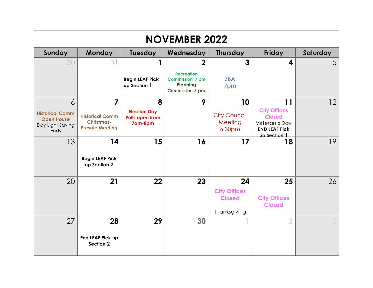| <b>NOVEMBER 2022</b>                                                    |                                                                       |                                                          |                                                                                          |                                          |                                                                                               |          |  |  |
|-------------------------------------------------------------------------|-----------------------------------------------------------------------|----------------------------------------------------------|------------------------------------------------------------------------------------------|------------------------------------------|-----------------------------------------------------------------------------------------------|----------|--|--|
| Sunday                                                                  | <b>Monday</b>                                                         | Tuesday                                                  | Wednesday                                                                                | <b>Thursday</b>                          | <b>Friday</b>                                                                                 | Saturday |  |  |
| 30                                                                      | 3                                                                     | 1                                                        | $\overline{2}$                                                                           | 3                                        | 4                                                                                             | 5        |  |  |
|                                                                         |                                                                       | <b>Begin LEAF Pick</b><br>up Section 1                   | <b>Recreation</b><br><b>Commission 7 pm</b><br><b>Planning</b><br><b>Commission 7 pm</b> | <b>ZBA</b><br>7pm                        |                                                                                               |          |  |  |
| 6                                                                       | $\overline{7}$                                                        | 8                                                        | 9                                                                                        | 10                                       | 11                                                                                            | 12       |  |  |
| <b>Historical Comm</b><br><b>Open House</b><br>Day Light Saving<br>Ends | <b>Historical Comm</b><br><b>Christmas-</b><br><b>Presale Meeting</b> | <b>Election Day</b><br><b>Polls open from</b><br>7am-8pm |                                                                                          | <b>City Council</b><br>Meeting<br>6:30pm | <b>City Offices</b><br><b>Closed</b><br>Veteran's Day<br><b>END LEAF Pick</b><br>un Section 1 |          |  |  |
| 13                                                                      | 14                                                                    | 15                                                       | 16                                                                                       | 17                                       | 18                                                                                            | 19       |  |  |
|                                                                         | <b>Begin LEAF Pick</b><br>up Section 2                                |                                                          |                                                                                          |                                          |                                                                                               |          |  |  |
| 20                                                                      | 21                                                                    | 22                                                       | 23                                                                                       | 24                                       | 25                                                                                            | 26       |  |  |
|                                                                         |                                                                       |                                                          |                                                                                          | <b>City Offices</b><br><b>Closed</b>     | <b>City Offices</b><br><b>Closed</b>                                                          |          |  |  |
|                                                                         |                                                                       |                                                          |                                                                                          | Thanksgiving                             |                                                                                               |          |  |  |
| 27                                                                      | 28<br><b>End LEAF Pick up</b><br>Section 2                            | 29                                                       | 30                                                                                       |                                          | $\overline{2}$                                                                                |          |  |  |
|                                                                         |                                                                       |                                                          |                                                                                          |                                          |                                                                                               |          |  |  |